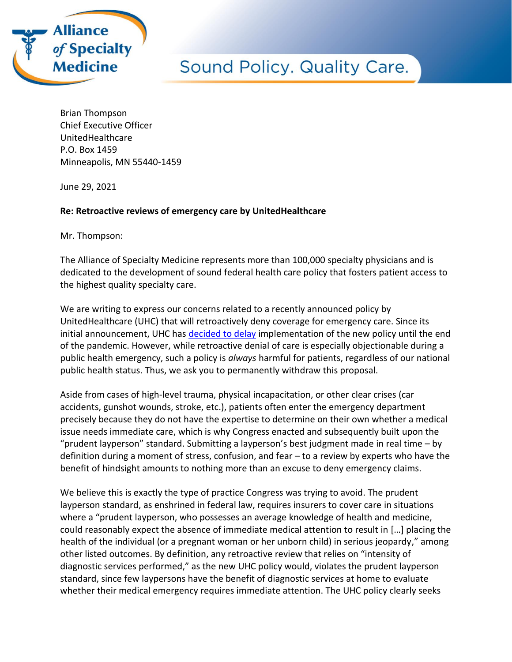

Brian Thompson Chief Executive Officer UnitedHealthcare P.O. Box 1459 Minneapolis, MN 55440-1459

June 29, 2021

## **Re: Retroactive reviews of emergency care by UnitedHealthcare**

Mr. Thompson:

The Alliance of Specialty Medicine represents more than 100,000 specialty physicians and is dedicated to the development of sound federal health care policy that fosters patient access to the highest quality specialty care.

We are writing to express our concerns related to a recently announced policy by UnitedHealthcare (UHC) that will retroactively deny coverage for emergency care. Since its initial announcement, UHC has [decided to delay](https://www.uhcprovider.com/en/resource-library/news/2021-network-bulletin-featured-articles/0621-ed-facility-commercial-claims.html) implementation of the new policy until the end of the pandemic. However, while retroactive denial of care is especially objectionable during a public health emergency, such a policy is *always* harmful for patients, regardless of our national public health status. Thus, we ask you to permanently withdraw this proposal.

Aside from cases of high-level trauma, physical incapacitation, or other clear crises (car accidents, gunshot wounds, stroke, etc.), patients often enter the emergency department precisely because they do not have the expertise to determine on their own whether a medical issue needs immediate care, which is why Congress enacted and subsequently built upon the "prudent layperson" standard. Submitting a layperson's best judgment made in real time – by definition during a moment of stress, confusion, and fear – to a review by experts who have the benefit of hindsight amounts to nothing more than an excuse to deny emergency claims.

We believe this is exactly the type of practice Congress was trying to avoid. The prudent layperson standard, as enshrined in federal law, requires insurers to cover care in situations where a "prudent layperson, who possesses an average knowledge of health and medicine, could reasonably expect the absence of immediate medical attention to result in […] placing the health of the individual (or a pregnant woman or her unborn child) in serious jeopardy," among other listed outcomes. By definition, any retroactive review that relies on "intensity of diagnostic services performed," as the new UHC policy would, violates the prudent layperson standard, since few laypersons have the benefit of diagnostic services at home to evaluate whether their medical emergency requires immediate attention. The UHC policy clearly seeks